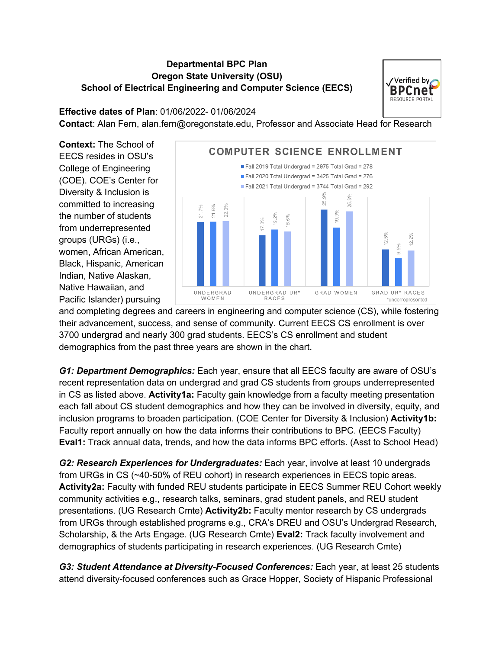## **Departmental BPC Plan Oregon State University (OSU) School of Electrical Engineering and Computer Science (EECS)**



## **Effective dates of Plan**: 01/06/2022- 01/06/2024

**Contact**: Alan Fern, alan.fern@oregonstate.edu, Professor and Associate Head for Research

**Context:** The School of EECS resides in OSU's College of Engineering (COE). COE's Center for Diversity & Inclusion is committed to increasing the number of students from underrepresented groups (URGs) (i.e., women, African American, Black, Hispanic, American Indian, Native Alaskan, Native Hawaiian, and Pacific Islander) pursuing



and completing degrees and careers in engineering and computer science (CS), while fostering their advancement, success, and sense of community. Current EECS CS enrollment is over 3700 undergrad and nearly 300 grad students. EECS's CS enrollment and student demographics from the past three years are shown in the chart.

*G1: Department Demographics:* Each year, ensure that all EECS faculty are aware of OSU's recent representation data on undergrad and grad CS students from groups underrepresented in CS as listed above. **Activity1a:** Faculty gain knowledge from a faculty meeting presentation each fall about CS student demographics and how they can be involved in diversity, equity, and inclusion programs to broaden participation. (COE Center for Diversity & Inclusion) **Activity1b:** Faculty report annually on how the data informs their contributions to BPC. (EECS Faculty) **Eval1:** Track annual data, trends, and how the data informs BPC efforts. (Asst to School Head)

*G2: Research Experiences for Undergraduates:* Each year, involve at least 10 undergrads from URGs in CS (~40-50% of REU cohort) in research experiences in EECS topic areas. **Activity2a:** Faculty with funded REU students participate in EECS Summer REU Cohort weekly community activities e.g., research talks, seminars, grad student panels, and REU student presentations. (UG Research Cmte) **Activity2b:** Faculty mentor research by CS undergrads from URGs through established programs e.g., CRA's DREU and OSU's Undergrad Research, Scholarship, & the Arts Engage. (UG Research Cmte) **Eval2:** Track faculty involvement and demographics of students participating in research experiences. (UG Research Cmte)

*G3: Student Attendance at Diversity-Focused Conferences:* Each year, at least 25 students attend diversity-focused conferences such as Grace Hopper, Society of Hispanic Professional